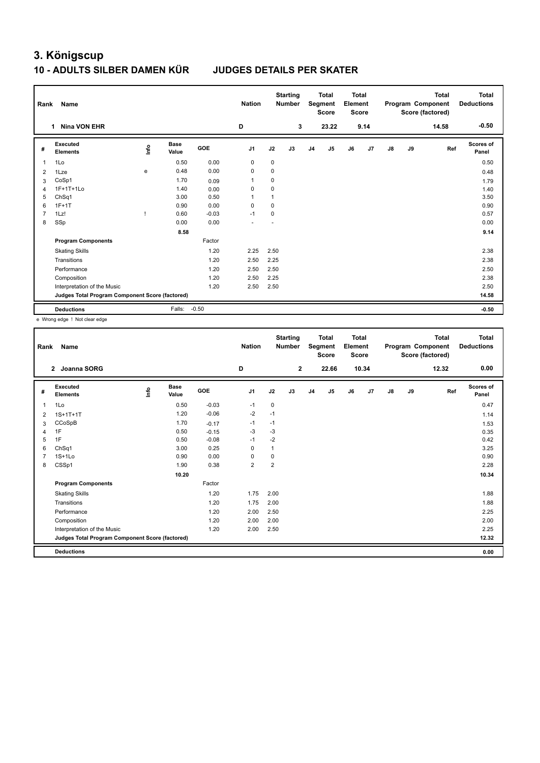## **3. Königscup**

## **10 - ADULTS SILBER DAMEN KÜR JUDGES DETAILS PER SKATER**

| Rank           | Name                                            |      |                      |         | <b>Nation</b>  |             | <b>Starting</b><br><b>Number</b> |                | <b>Total</b><br>Segment<br><b>Score</b> | Total<br>Element<br><b>Score</b> |      |    |    | <b>Total</b><br>Program Component<br>Score (factored) | Total<br><b>Deductions</b> |
|----------------|-------------------------------------------------|------|----------------------|---------|----------------|-------------|----------------------------------|----------------|-----------------------------------------|----------------------------------|------|----|----|-------------------------------------------------------|----------------------------|
|                | <b>Nina VON EHR</b><br>1.                       |      |                      |         | D              |             | 3                                |                | 23.22                                   |                                  | 9.14 |    |    | 14.58                                                 | $-0.50$                    |
| #              | Executed<br><b>Elements</b>                     | ١nf٥ | <b>Base</b><br>Value | GOE     | J <sub>1</sub> | J2          | J3                               | J <sub>4</sub> | J <sub>5</sub>                          | J6                               | J7   | J8 | J9 | Ref                                                   | Scores of<br>Panel         |
| 1              | 1Lo                                             |      | 0.50                 | 0.00    | $\mathbf 0$    | $\mathbf 0$ |                                  |                |                                         |                                  |      |    |    |                                                       | 0.50                       |
| $\overline{2}$ | 1Lze                                            | e    | 0.48                 | 0.00    | $\mathbf 0$    | $\mathbf 0$ |                                  |                |                                         |                                  |      |    |    |                                                       | 0.48                       |
| 3              | CoSp1                                           |      | 1.70                 | 0.09    | $\overline{1}$ | $\mathbf 0$ |                                  |                |                                         |                                  |      |    |    |                                                       | 1.79                       |
| 4              | 1F+1T+1Lo                                       |      | 1.40                 | 0.00    | 0              | 0           |                                  |                |                                         |                                  |      |    |    |                                                       | 1.40                       |
| 5              | ChSq1                                           |      | 3.00                 | 0.50    | 1              | 1           |                                  |                |                                         |                                  |      |    |    |                                                       | 3.50                       |
| 6              | $1F+1T$                                         |      | 0.90                 | 0.00    | $\Omega$       | $\Omega$    |                                  |                |                                         |                                  |      |    |    |                                                       | 0.90                       |
| $\overline{7}$ | 1Lz!                                            |      | 0.60                 | $-0.03$ | $-1$           | $\mathbf 0$ |                                  |                |                                         |                                  |      |    |    |                                                       | 0.57                       |
| 8              | SSp                                             |      | 0.00                 | 0.00    |                |             |                                  |                |                                         |                                  |      |    |    |                                                       | 0.00                       |
|                |                                                 |      | 8.58                 |         |                |             |                                  |                |                                         |                                  |      |    |    |                                                       | 9.14                       |
|                | <b>Program Components</b>                       |      |                      | Factor  |                |             |                                  |                |                                         |                                  |      |    |    |                                                       |                            |
|                | <b>Skating Skills</b>                           |      |                      | 1.20    | 2.25           | 2.50        |                                  |                |                                         |                                  |      |    |    |                                                       | 2.38                       |
|                | Transitions                                     |      |                      | 1.20    | 2.50           | 2.25        |                                  |                |                                         |                                  |      |    |    |                                                       | 2.38                       |
|                | Performance                                     |      |                      | 1.20    | 2.50           | 2.50        |                                  |                |                                         |                                  |      |    |    |                                                       | 2.50                       |
|                | Composition                                     |      |                      | 1.20    | 2.50           | 2.25        |                                  |                |                                         |                                  |      |    |    |                                                       | 2.38                       |
|                | Interpretation of the Music                     |      |                      | 1.20    | 2.50           | 2.50        |                                  |                |                                         |                                  |      |    |    |                                                       | 2.50                       |
|                | Judges Total Program Component Score (factored) |      |                      |         |                |             |                                  |                |                                         |                                  |      |    |    |                                                       | 14.58                      |
|                | <b>Deductions</b>                               |      | Falls:               | $-0.50$ |                |             |                                  |                |                                         |                                  |      |    |    |                                                       | $-0.50$                    |

e Wrong edge ! Not clear edge

| Rank | Name                                            |       |                      |         | <b>Nation</b>  |                | <b>Starting</b><br><b>Number</b> |                | <b>Total</b><br>Segment<br><b>Score</b> | <b>Total</b><br>Element<br><b>Score</b> |       |               |    | Total<br>Program Component<br>Score (factored) | Total<br><b>Deductions</b> |
|------|-------------------------------------------------|-------|----------------------|---------|----------------|----------------|----------------------------------|----------------|-----------------------------------------|-----------------------------------------|-------|---------------|----|------------------------------------------------|----------------------------|
|      | <b>Joanna SORG</b><br>$\mathbf{2}$              |       |                      |         | D              |                | $\mathbf{2}$                     |                | 22.66                                   |                                         | 10.34 |               |    | 12.32                                          | 0.00                       |
| #    | Executed<br><b>Elements</b>                     | Linfo | <b>Base</b><br>Value | GOE     | J <sub>1</sub> | J2             | J3                               | J <sub>4</sub> | J5                                      | J6                                      | J7    | $\mathsf{J}8$ | J9 | Ref                                            | Scores of<br>Panel         |
| 1    | 1Lo                                             |       | 0.50                 | $-0.03$ | $-1$           | 0              |                                  |                |                                         |                                         |       |               |    |                                                | 0.47                       |
| 2    | $1S+1T+1T$                                      |       | 1.20                 | $-0.06$ | -2             | $-1$           |                                  |                |                                         |                                         |       |               |    |                                                | 1.14                       |
| 3    | CCoSpB                                          |       | 1.70                 | $-0.17$ | $-1$           | $-1$           |                                  |                |                                         |                                         |       |               |    |                                                | 1.53                       |
| 4    | 1F                                              |       | 0.50                 | $-0.15$ | $-3$           | $-3$           |                                  |                |                                         |                                         |       |               |    |                                                | 0.35                       |
| 5    | 1F                                              |       | 0.50                 | $-0.08$ | $-1$           | $-2$           |                                  |                |                                         |                                         |       |               |    |                                                | 0.42                       |
| 6    | ChSq1                                           |       | 3.00                 | 0.25    | $\mathbf 0$    |                |                                  |                |                                         |                                         |       |               |    |                                                | 3.25                       |
|      | $1S+1Lo$                                        |       | 0.90                 | 0.00    | 0              | 0              |                                  |                |                                         |                                         |       |               |    |                                                | 0.90                       |
| 8    | CSSp1                                           |       | 1.90                 | 0.38    | $\overline{2}$ | $\overline{2}$ |                                  |                |                                         |                                         |       |               |    |                                                | 2.28                       |
|      |                                                 |       | 10.20                |         |                |                |                                  |                |                                         |                                         |       |               |    |                                                | 10.34                      |
|      | <b>Program Components</b>                       |       |                      | Factor  |                |                |                                  |                |                                         |                                         |       |               |    |                                                |                            |
|      | <b>Skating Skills</b>                           |       |                      | 1.20    | 1.75           | 2.00           |                                  |                |                                         |                                         |       |               |    |                                                | 1.88                       |
|      | Transitions                                     |       |                      | 1.20    | 1.75           | 2.00           |                                  |                |                                         |                                         |       |               |    |                                                | 1.88                       |
|      | Performance                                     |       |                      | 1.20    | 2.00           | 2.50           |                                  |                |                                         |                                         |       |               |    |                                                | 2.25                       |
|      | Composition                                     |       |                      | 1.20    | 2.00           | 2.00           |                                  |                |                                         |                                         |       |               |    |                                                | 2.00                       |
|      | Interpretation of the Music                     |       |                      | 1.20    | 2.00           | 2.50           |                                  |                |                                         |                                         |       |               |    |                                                | 2.25                       |
|      | Judges Total Program Component Score (factored) |       |                      |         |                |                |                                  |                |                                         |                                         |       |               |    |                                                | 12.32                      |
|      | <b>Deductions</b>                               |       |                      |         |                |                |                                  |                |                                         |                                         |       |               |    |                                                | 0.00                       |